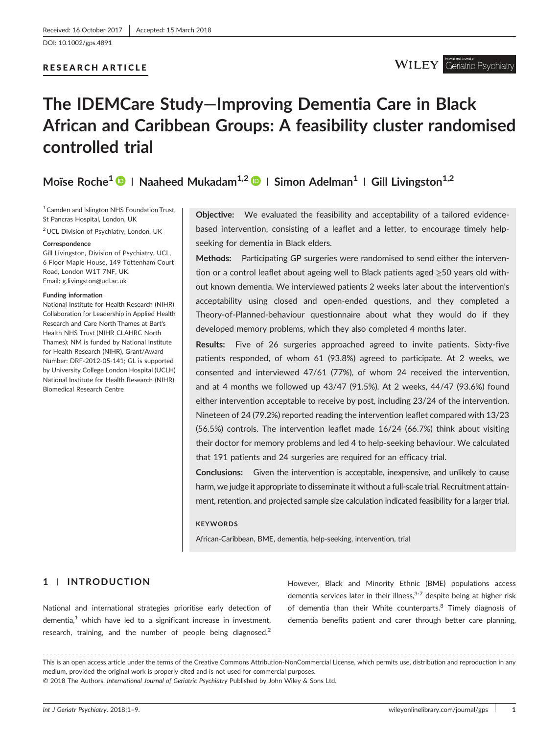[DOI: 10.1002/gps.4891](https://doi.org/10.1002/gps.4891)

# RESEARCH ARTICLE

# **The IDEMCare Study—Improving Dementia Care in Black African and Caribbean Groups: A feasibility cluster randomised controlled trial**

**Moïse Roche1 <sup>|</sup> Naaheed Mukadam1,2 <sup>|</sup> Simon Adelman<sup>1</sup> <sup>|</sup> Gill Livingston1,2**

<sup>1</sup> Camden and Islington NHS Foundation Trust, St Pancras Hospital, London, UK

2UCL Division of Psychiatry, London, UK

#### **Correspondence**

Gill Livingston, Division of Psychiatry, UCL, 6 Floor Maple House, 149 Tottenham Court Road, London W1T 7NF, UK. Email: [g.livingston@ucl.ac.uk](mailto:g.livingston@ucl.ac.uk)

#### **Funding information**

National Institute for Health Research (NIHR) Collaboration for Leadership in Applied Health Research and Care North Thames at Bart's Health NHS Trust (NIHR CLAHRC North Thames); NM is funded by National Institute for Health Research (NIHR), Grant/Award Number: DRF‐2012‐05‐141; GL is supported by University College London Hospital (UCLH) National Institute for Health Research (NIHR) Biomedical Research Centre

**Objective:** We evaluated the feasibility and acceptability of a tailored evidencebased intervention, consisting of a leaflet and a letter, to encourage timely helpseeking for dementia in Black elders.

**Methods:** Participating GP surgeries were randomised to send either the intervention or a control leaflet about ageing well to Black patients aged ≥50 years old without known dementia. We interviewed patients 2 weeks later about the intervention's acceptability using closed and open‐ended questions, and they completed a Theory‐of‐Planned‐behaviour questionnaire about what they would do if they developed memory problems, which they also completed 4 months later.

**Results:** Five of 26 surgeries approached agreed to invite patients. Sixty-five patients responded, of whom 61 (93.8%) agreed to participate. At 2 weeks, we consented and interviewed 47/61 (77%), of whom 24 received the intervention, and at 4 months we followed up 43/47 (91.5%). At 2 weeks, 44/47 (93.6%) found either intervention acceptable to receive by post, including 23/24 of the intervention. Nineteen of 24 (79.2%) reported reading the intervention leaflet compared with 13/23 (56.5%) controls. The intervention leaflet made 16/24 (66.7%) think about visiting their doctor for memory problems and led 4 to help‐seeking behaviour. We calculated that 191 patients and 24 surgeries are required for an efficacy trial.

**Conclusions:** Given the intervention is acceptable, inexpensive, and unlikely to cause harm, we judge it appropriate to disseminate it without a full‐scale trial. Recruitment attainment, retention, and projected sample size calculation indicated feasibility for a larger trial.

#### **KEYWORDS**

African‐Caribbean, BME, dementia, help‐seeking, intervention, trial

# **1** | **INTRODUCTION**

National and international strategies prioritise early detection of dementia, $<sup>1</sup>$  which have led to a significant increase in investment,</sup> research, training, and the number of people being diagnosed.<sup>2</sup>

However, Black and Minority Ethnic (BME) populations access dementia services later in their illness,  $3-7$  despite being at higher risk of dementia than their White counterparts.<sup>8</sup> Timely diagnosis of dementia benefits patient and carer through better care planning,

------------------------------------------------------------------------------------------------------------------------------- - This is an open access article under the terms of the [Creative Commons Attribution](http://creativecommons.org/licenses/by-nc/4.0/)‐NonCommercial License, which permits use, distribution and reproduction in any medium, provided the original work is properly cited and is not used for commercial purposes. © 2018 The Authors. *International Journal of Geriatric Psychiatry* Published by John Wiley & Sons Ltd.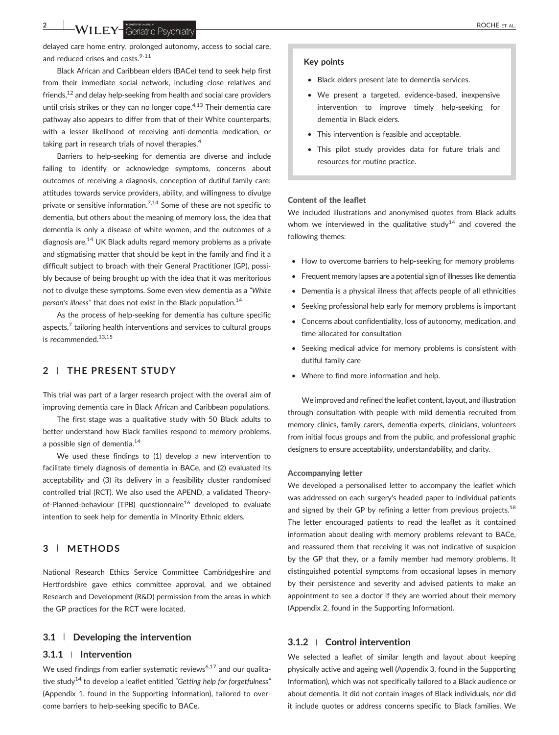delayed care home entry, prolonged autonomy, access to social care, and reduced crises and costs. $9-11$ 

Black African and Caribbean elders (BACe) tend to seek help first from their immediate social network, including close relatives and friends,<sup>12</sup> and delay help-seeking from health and social care providers until crisis strikes or they can no longer cope. $4,13$  Their dementia care pathway also appears to differ from that of their White counterparts, with a lesser likelihood of receiving anti‐dementia medication, or taking part in research trials of novel therapies.<sup>4</sup>

Barriers to help‐seeking for dementia are diverse and include failing to identify or acknowledge symptoms, concerns about outcomes of receiving a diagnosis, conception of dutiful family care; attitudes towards service providers, ability, and willingness to divulge private or sensitive information.<sup>7,14</sup> Some of these are not specific to dementia, but others about the meaning of memory loss, the idea that dementia is only a disease of white women, and the outcomes of a diagnosis are.<sup>14</sup> UK Black adults regard memory problems as a private and stigmatising matter that should be kept in the family and find it a difficult subject to broach with their General Practitioner (GP), possibly because of being brought up with the idea that it was meritorious not to divulge these symptoms. Some even view dementia as a *"White person*'*s illness"* that does not exist in the Black population.14

As the process of help-seeking for dementia has culture specific aspects, $<sup>7</sup>$  tailoring health interventions and services to cultural groups</sup> is recommended. $13,15$ 

# **2** | **THE PRESENT STUDY**

This trial was part of a larger research project with the overall aim of improving dementia care in Black African and Caribbean populations.

The first stage was a qualitative study with 50 Black adults to better understand how Black families respond to memory problems, a possible sign of dementia. $14$ 

We used these findings to (1) develop a new intervention to facilitate timely diagnosis of dementia in BACe, and (2) evaluated its acceptability and (3) its delivery in a feasibility cluster randomised controlled trial (RCT). We also used the APEND, a validated Theory‐ of-Planned-behaviour (TPB) questionnaire<sup>16</sup> developed to evaluate intention to seek help for dementia in Minority Ethnic elders.

# **3** | **METHODS**

National Research Ethics Service Committee Cambridgeshire and Hertfordshire gave ethics committee approval, and we obtained Research and Development (R&D) permission from the areas in which the GP practices for the RCT were located.

# **3.1** | **Developing the intervention**

# **3.1.1** <sup>|</sup> **Intervention**

We used findings from earlier systematic reviews<sup>6,17</sup> and our qualitative study14 to develop a leaflet entitled *"Getting help for forgetfulness"* (Appendix 1, found in the Supporting Information), tailored to overcome barriers to help‐seeking specific to BACe.

#### **Key points**

- Black elders present late to dementia services.
- We present a targeted, evidence‐based, inexpensive intervention to improve timely help‐seeking for dementia in Black elders.
- This intervention is feasible and acceptable.
- This pilot study provides data for future trials and resources for routine practice.

#### Content of the leaflet

We included illustrations and anonymised quotes from Black adults whom we interviewed in the qualitative study<sup>14</sup> and covered the following themes:

- How to overcome barriers to help-seeking for memory problems
- Frequent memory lapses are a potential sign of illnesses like dementia
- Dementia is a physical illness that affects people of all ethnicities
- Seeking professional help early for memory problems is important
- Concerns about confidentiality, loss of autonomy, medication, and time allocated for consultation
- Seeking medical advice for memory problems is consistent with dutiful family care
- Where to find more information and help.

We improved and refined the leaflet content, layout, and illustration through consultation with people with mild dementia recruited from memory clinics, family carers, dementia experts, clinicians, volunteers from initial focus groups and from the public, and professional graphic designers to ensure acceptability, understandability, and clarity.

We developed a personalised letter to accompany the leaflet which was addressed on each surgery's headed paper to individual patients and signed by their GP by refining a letter from previous projects.<sup>18</sup> The letter encouraged patients to read the leaflet as it contained information about dealing with memory problems relevant to BACe, and reassured them that receiving it was not indicative of suspicion by the GP that they, or a family member had memory problems. It distinguished potential symptoms from occasional lapses in memory by their persistence and severity and advised patients to make an appointment to see a doctor if they are worried about their memory (Appendix 2, found in the Supporting Information).

# **3.1.2** <sup>|</sup> **Control intervention**

We selected a leaflet of similar length and layout about keeping physically active and ageing well (Appendix 3, found in the Supporting Information), which was not specifically tailored to a Black audience or about dementia. It did not contain images of Black individuals, nor did it include quotes or address concerns specific to Black families. We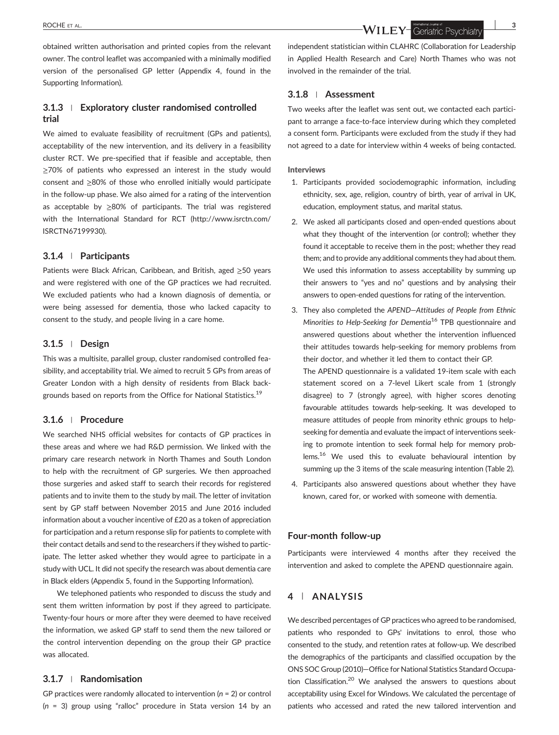obtained written authorisation and printed copies from the relevant owner. The control leaflet was accompanied with a minimally modified version of the personalised GP letter (Appendix 4, found in the Supporting Information).

# **3.1.3** <sup>|</sup> **Exploratory cluster randomised controlled trial**

We aimed to evaluate feasibility of recruitment (GPs and patients), acceptability of the new intervention, and its delivery in a feasibility cluster RCT. We pre‐specified that if feasible and acceptable, then ≥70% of patients who expressed an interest in the study would consent and ≥80% of those who enrolled initially would participate in the follow‐up phase. We also aimed for a rating of the intervention as acceptable by ≥80% of participants. The trial was registered with the International Standard for RCT [\(http://www.isrctn.com/](http://www.isrctn.com/ISRCTN67199930) [ISRCTN67199930\)](http://www.isrctn.com/ISRCTN67199930).

#### **3.1.4** <sup>|</sup> **Participants**

Patients were Black African, Caribbean, and British, aged ≥50 years and were registered with one of the GP practices we had recruited. We excluded patients who had a known diagnosis of dementia, or were being assessed for dementia, those who lacked capacity to consent to the study, and people living in a care home.

# **3.1.5** <sup>|</sup> **Design**

This was a multisite, parallel group, cluster randomised controlled feasibility, and acceptability trial. We aimed to recruit 5 GPs from areas of Greater London with a high density of residents from Black backgrounds based on reports from the Office for National Statistics.<sup>19</sup>

# **3.1.6** <sup>|</sup> **Procedure**

We searched NHS official websites for contacts of GP practices in these areas and where we had R&D permission. We linked with the primary care research network in North Thames and South London to help with the recruitment of GP surgeries. We then approached those surgeries and asked staff to search their records for registered patients and to invite them to the study by mail. The letter of invitation sent by GP staff between November 2015 and June 2016 included information about a voucher incentive of £20 as a token of appreciation for participation and a return response slip for patients to complete with their contact details and send to the researchers if they wished to participate. The letter asked whether they would agree to participate in a study with UCL. It did not specify the research was about dementia care in Black elders (Appendix 5, found in the Supporting Information).

We telephoned patients who responded to discuss the study and sent them written information by post if they agreed to participate. Twenty‐four hours or more after they were deemed to have received the information, we asked GP staff to send them the new tailored or the control intervention depending on the group their GP practice was allocated.

### **3.1.7** <sup>|</sup> **Randomisation**

GP practices were randomly allocated to intervention (*n* = 2) or control (*n* = 3) group using "ralloc" procedure in Stata version 14 by an

ROCHE ET AL. **3**

independent statistician within CLAHRC (Collaboration for Leadership in Applied Health Research and Care) North Thames who was not involved in the remainder of the trial.

# **3.1.8** <sup>|</sup> **Assessment**

Two weeks after the leaflet was sent out, we contacted each participant to arrange a face-to-face interview during which they completed a consent form. Participants were excluded from the study if they had not agreed to a date for interview within 4 weeks of being contacted.

#### Interviews

- 1. Participants provided sociodemographic information, including ethnicity, sex, age, religion, country of birth, year of arrival in UK, education, employment status, and marital status.
- 2. We asked all participants closed and open-ended questions about what they thought of the intervention (or control); whether they found it acceptable to receive them in the post; whether they read them; and to provide any additional comments they had about them. We used this information to assess acceptability by summing up their answers to "yes and no" questions and by analysing their answers to open‐ended questions for rating of the intervention.
- 3. They also completed the *APEND—Attitudes of People from Ethnic Minorities to Help‐Seeking for Dementia*<sup>16</sup> TPB questionnaire and answered questions about whether the intervention influenced their attitudes towards help‐seeking for memory problems from their doctor, and whether it led them to contact their GP. The APEND questionnaire is a validated 19‐item scale with each statement scored on a 7‐level Likert scale from 1 (strongly disagree) to 7 (strongly agree), with higher scores denoting favourable attitudes towards help‐seeking. It was developed to measure attitudes of people from minority ethnic groups to help‐ seeking for dementia and evaluate the impact of interventions seeking to promote intention to seek formal help for memory problems.<sup>16</sup> We used this to evaluate behavioural intention by summing up the 3 items of the scale measuring intention (Table 2).
- 4. Participants also answered questions about whether they have known, cared for, or worked with someone with dementia.

#### **Four‐month follow‐up**

Participants were interviewed 4 months after they received the intervention and asked to complete the APEND questionnaire again.

# **4** | **ANALYSIS**

We described percentages of GP practices who agreed to be randomised, patients who responded to GPs' invitations to enrol, those who consented to the study, and retention rates at follow‐up. We described the demographics of the participants and classified occupation by the ONS SOC Group (2010)—Office for National Statistics Standard Occupation Classification.<sup>20</sup> We analysed the answers to questions about acceptability using Excel for Windows. We calculated the percentage of patients who accessed and rated the new tailored intervention and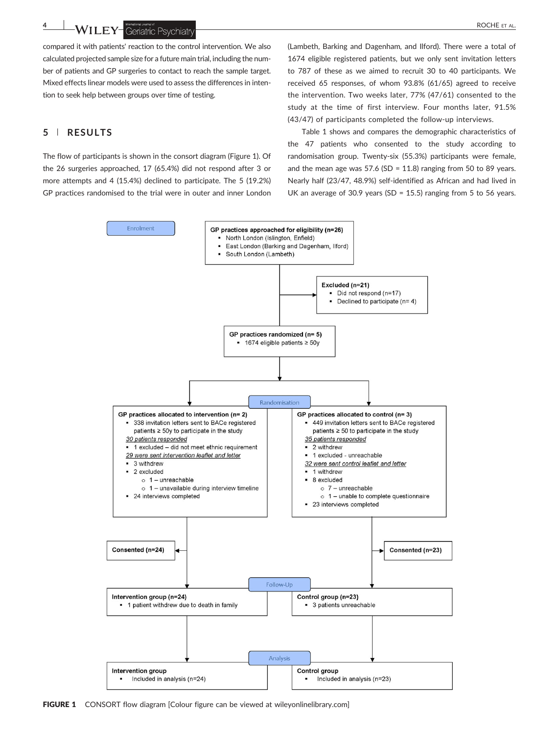**4 WILEY** Geriatric Psychiatry **Construction ROCHE** ET AL.

compared it with patients' reaction to the control intervention. We also calculated projected sample size for a future main trial, including the number of patients and GP surgeries to contact to reach the sample target. Mixed effects linear models were used to assess the differences in intention to seek help between groups over time of testing.

# **5** | **RESULTS**

The flow of participants is shown in the consort diagram (Figure 1). Of the 26 surgeries approached, 17 (65.4%) did not respond after 3 or more attempts and 4 (15.4%) declined to participate. The 5 (19.2%) GP practices randomised to the trial were in outer and inner London

(Lambeth, Barking and Dagenham, and Ilford). There were a total of 1674 eligible registered patients, but we only sent invitation letters to 787 of these as we aimed to recruit 30 to 40 participants. We received 65 responses, of whom 93.8% (61/65) agreed to receive the intervention. Two weeks later, 77% (47/61) consented to the study at the time of first interview. Four months later, 91.5% (43/47) of participants completed the follow‐up interviews.

Table 1 shows and compares the demographic characteristics of the 47 patients who consented to the study according to randomisation group. Twenty‐six (55.3%) participants were female, and the mean age was  $57.6$  (SD = 11.8) ranging from 50 to 89 years. Nearly half (23/47, 48.9%) self‐identified as African and had lived in UK an average of 30.9 years (SD = 15.5) ranging from 5 to 56 years.

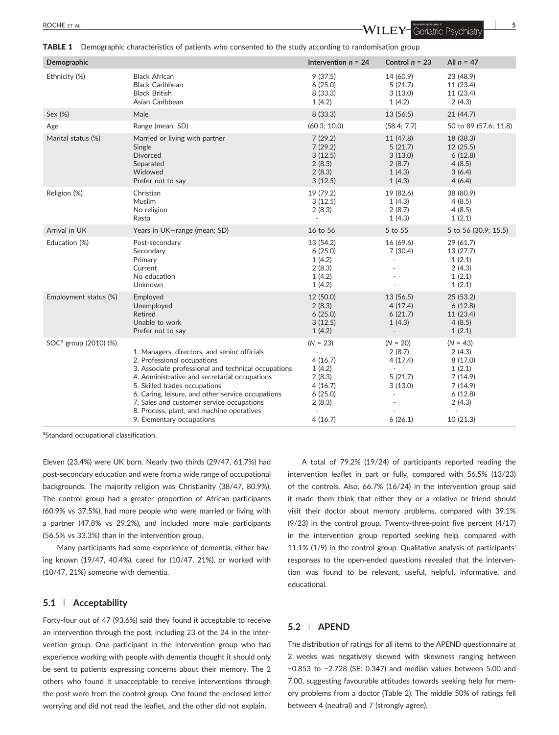TABLE 1 Demographic characteristics of patients who consented to the study according to randomisation group

| Demographic                       |                                                                                                                                                                                                                                                                                                                                                                                                  | Intervention $n = 24$                                                                            | Control $n = 23$                                                                    | All $n = 47$                                                                                           |
|-----------------------------------|--------------------------------------------------------------------------------------------------------------------------------------------------------------------------------------------------------------------------------------------------------------------------------------------------------------------------------------------------------------------------------------------------|--------------------------------------------------------------------------------------------------|-------------------------------------------------------------------------------------|--------------------------------------------------------------------------------------------------------|
| Ethnicity (%)                     | <b>Black African</b><br><b>Black Caribbean</b><br><b>Black British</b><br>Asian Caribbean                                                                                                                                                                                                                                                                                                        | 9(37.5)<br>6(25.0)<br>8 (33.3)<br>1(4.2)                                                         | 14 (60.9)<br>5(21.7)<br>3(13.0)<br>1(4.2)                                           | 23 (48.9)<br>11 (23.4)<br>11 (23.4)<br>2(4.3)                                                          |
| Sex (%)                           | Male                                                                                                                                                                                                                                                                                                                                                                                             | 8 (33.3)                                                                                         | 13 (56.5)                                                                           | 21(44.7)                                                                                               |
| Age                               | Range (mean; SD)                                                                                                                                                                                                                                                                                                                                                                                 | (60.3; 10.0)                                                                                     | (58.4; 7.7)                                                                         | 50 to 89 (57.6; 11.8)                                                                                  |
| Marital status (%)                | Married or living with partner<br>Single<br><b>Divorced</b><br>Separated<br>Widowed<br>Prefer not to say                                                                                                                                                                                                                                                                                         | 7(29.2)<br>7(29.2)<br>3(12.5)<br>2(8.3)<br>2(8.3)<br>3(12.5)                                     | 11 (47.8)<br>5(21.7)<br>3(13.0)<br>2(8.7)<br>1(4.3)<br>1(4.3)                       | 18 (38.3)<br>12(25.5)<br>6(12.8)<br>4(8.5)<br>3(6.4)<br>4(6.4)                                         |
| Religion (%)                      | Christian<br>Muslim<br>No religion<br>Rasta                                                                                                                                                                                                                                                                                                                                                      | 19 (79.2)<br>3(12.5)<br>2(8.3)<br>×.                                                             | 19 (82.6)<br>1(4.3)<br>2(8.7)<br>1(4.3)                                             | 38 (80.9)<br>4(8.5)<br>4(8.5)<br>1(2.1)                                                                |
| Arrival in UK                     | Years in UK-range (mean; SD)                                                                                                                                                                                                                                                                                                                                                                     | 16 to 56                                                                                         | 5 to 55                                                                             | 5 to 56 (30.9; 15.5)                                                                                   |
| Education (%)                     | Post-secondary<br>Secondary<br>Primary<br>Current<br>No education<br>Unknown                                                                                                                                                                                                                                                                                                                     | 13 (54.2)<br>6(25.0)<br>1(4.2)<br>2(8.3)<br>1(4.2)<br>1(4.2)                                     | 16 (69.6)<br>7(30.4)<br>ä,                                                          | 29 (61.7)<br>13 (27.7)<br>1(2.1)<br>2(4.3)<br>1(2.1)<br>1(2.1)                                         |
| Employment status (%)             | Employed<br>Unemployed<br>Retired<br>Unable to work<br>Prefer not to say                                                                                                                                                                                                                                                                                                                         | 12 (50.0)<br>2(8.3)<br>6(25.0)<br>3(12.5)<br>1(4.2)                                              | 13 (56.5)<br>4(17.4)<br>6(21.7)<br>1(4.3)<br>$\overline{\phantom{a}}$               | 25 (53.2)<br>6(12.8)<br>11 (23.4)<br>4(8.5)<br>1(2.1)                                                  |
| SOC <sup>a</sup> group (2010) (%) | 1. Managers, directors, and senior officials<br>2. Professional occupations<br>3. Associate professional and technical occupations<br>4. Administrative and secretarial occupations<br>5. Skilled trades occupations<br>6. Caring, leisure, and other service occupations<br>7. Sales and customer service occupations<br>8. Process, plant, and machine operatives<br>9. Elementary occupations | $(N = 23)$<br>÷,<br>4(16.7)<br>1(4.2)<br>2(8.3)<br>4(16.7)<br>6(25.0)<br>2(8.3)<br>÷.<br>4(16.7) | $(N = 20)$<br>2(8.7)<br>4(17.4)<br>$\bar{a}$<br>5(21.7)<br>3(13.0)<br>ä,<br>6(26.1) | $(N = 43)$<br>2(4.3)<br>8(17.0)<br>1(2.1)<br>7(14.9)<br>7(14.9)<br>6(12.8)<br>2(4.3)<br>÷.<br>10(21.3) |

a Standard occupational classification.

Eleven (23.4%) were UK born. Nearly two thirds (29/47, 61.7%) had post‐secondary education and were from a wide range of occupational backgrounds. The majority religion was Christianity (38/47, 80.9%). The control group had a greater proportion of African participants (60.9% vs 37.5%), had more people who were married or living with a partner (47.8% vs 29.2%), and included more male participants (56.5% vs 33.3%) than in the intervention group.

Many participants had some experience of dementia, either having known (19/47, 40.4%), cared for (10/47, 21%), or worked with (10/47, 21%) someone with dementia.

# **5.1** | **Acceptability**

Forty-four out of 47 (93.6%) said they found it acceptable to receive an intervention through the post, including 23 of the 24 in the intervention group. One participant in the intervention group who had experience working with people with dementia thought it should only be sent to patients expressing concerns about their memory. The 2 others who found it unacceptable to receive interventions through the post were from the control group. One found the enclosed letter worrying and did not read the leaflet, and the other did not explain.

A total of 79.2% (19/24) of participants reported reading the intervention leaflet in part or fully, compared with 56.5% (13/23) of the controls. Also, 66.7% (16/24) in the intervention group said it made them think that either they or a relative or friend should visit their doctor about memory problems, compared with 39.1% (9/23) in the control group. Twenty-three-point five percent (4/17) in the intervention group reported seeking help, compared with 11.1% (1/9) in the control group. Qualitative analysis of participants' responses to the open-ended questions revealed that the intervention was found to be relevant, useful, helpful, informative, and educational.

# **5.2** | **APEND**

The distribution of ratings for all items to the APEND questionnaire at 2 weeks was negatively skewed with skewness ranging between −0.853 to −2.728 (SE: 0.347) and median values between 5.00 and 7.00, suggesting favourable attitudes towards seeking help for memory problems from a doctor (Table 2). The middle 50% of ratings fell between 4 (neutral) and 7 (strongly agree).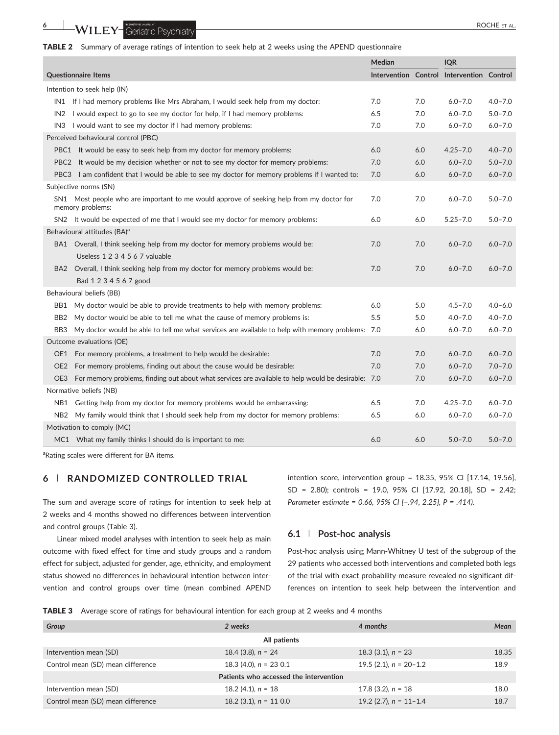

|                                         |                                                                                                              | <b>Median</b> |     | <b>IQR</b>                                |             |
|-----------------------------------------|--------------------------------------------------------------------------------------------------------------|---------------|-----|-------------------------------------------|-------------|
| <b>Questionnaire Items</b>              |                                                                                                              |               |     | Intervention Control Intervention Control |             |
| Intention to seek help (IN)             |                                                                                                              |               |     |                                           |             |
|                                         | IN1 If I had memory problems like Mrs Abraham, I would seek help from my doctor:                             | 7.0           | 7.0 | $6.0 - 7.0$                               | $4.0 - 7.0$ |
|                                         | IN2 I would expect to go to see my doctor for help, if I had memory problems:                                | 6.5           | 7.0 | $6.0 - 7.0$                               | $5.0 - 7.0$ |
|                                         | IN3 I would want to see my doctor if I had memory problems:                                                  | 7.0           | 7.0 | $6.0 - 7.0$                               | $6.0 - 7.0$ |
| Perceived behavioural control (PBC)     |                                                                                                              |               |     |                                           |             |
|                                         | PBC1 It would be easy to seek help from my doctor for memory problems:                                       | 6.0           | 6.0 | $4.25 - 7.0$                              | $4.0 - 7.0$ |
| PBC <sub>2</sub>                        | It would be my decision whether or not to see my doctor for memory problems:                                 | 7.0           | 6.0 | $6.0 - 7.0$                               | $5.0 - 7.0$ |
|                                         | PBC3 I am confident that I would be able to see my doctor for memory problems if I wanted to:                | 7.0           | 6.0 | $6.0 - 7.0$                               | $6.0 - 7.0$ |
|                                         | Subjective norms (SN)                                                                                        |               |     |                                           |             |
|                                         | SN1 Most people who are important to me would approve of seeking help from my doctor for<br>memory problems: | 7.0           | 7.0 | $6.0 - 7.0$                               | $5.0 - 7.0$ |
|                                         | SN2 It would be expected of me that I would see my doctor for memory problems:                               | 6.0           | 6.0 | $5.25 - 7.0$                              | $5.0 - 7.0$ |
| Behavioural attitudes (BA) <sup>a</sup> |                                                                                                              |               |     |                                           |             |
|                                         | BA1 Overall, I think seeking help from my doctor for memory problems would be:                               | 7.0           | 7.0 | $6.0 - 7.0$                               | $6.0 - 7.0$ |
|                                         | Useless 1 2 3 4 5 6 7 valuable                                                                               |               |     |                                           |             |
|                                         | BA2 Overall, I think seeking help from my doctor for memory problems would be:                               | 7.0           | 7.0 | $6.0 - 7.0$                               | $6.0 - 7.0$ |
|                                         | Bad 1 2 3 4 5 6 7 good                                                                                       |               |     |                                           |             |
|                                         | Behavioural beliefs (BB)                                                                                     |               |     |                                           |             |
| BB1                                     | My doctor would be able to provide treatments to help with memory problems:                                  | 6.0           | 5.0 | $4.5 - 7.0$                               | $4.0 - 6.0$ |
| BB <sub>2</sub>                         | My doctor would be able to tell me what the cause of memory problems is:                                     | 5.5           | 5.0 | $4.0 - 7.0$                               | $4.0 - 7.0$ |
| BB3                                     | My doctor would be able to tell me what services are available to help with memory problems: 7.0             |               | 6.0 | $6.0 - 7.0$                               | $6.0 - 7.0$ |
| Outcome evaluations (OE)                |                                                                                                              |               |     |                                           |             |
|                                         | OE1 For memory problems, a treatment to help would be desirable:                                             | 7.0           | 7.0 | $6.0 - 7.0$                               | $6.0 - 7.0$ |
|                                         | OE2 For memory problems, finding out about the cause would be desirable:                                     | 7.0           | 7.0 | $6.0 - 7.0$                               | $7.0 - 7.0$ |
|                                         | OE3 For memory problems, finding out about what services are available to help would be desirable: 7.0       |               | 7.0 | $6.0 - 7.0$                               | $6.0 - 7.0$ |
| Normative beliefs (NB)                  |                                                                                                              |               |     |                                           |             |
|                                         | NB1 Getting help from my doctor for memory problems would be embarrassing:                                   | 6.5           | 7.0 | $4.25 - 7.0$                              | $6.0 - 7.0$ |
|                                         | NB2 My family would think that I should seek help from my doctor for memory problems:                        | 6.5           | 6.0 | $6.0 - 7.0$                               | $6.0 - 7.0$ |
| Motivation to comply (MC)               |                                                                                                              |               |     |                                           |             |
|                                         | MC1 What my family thinks I should do is important to me:                                                    | 6.0           | 6.0 | $5.0 - 7.0$                               | $5.0 - 7.0$ |
|                                         |                                                                                                              |               |     |                                           |             |

<sup>a</sup>Rating scales were different for BA items.

# **6** | **RANDOMIZED CONTROLLED TRIAL**

The sum and average score of ratings for intention to seek help at 2 weeks and 4 months showed no differences between intervention and control groups (Table 3).

Linear mixed model analyses with intention to seek help as main outcome with fixed effect for time and study groups and a random effect for subject, adjusted for gender, age, ethnicity, and employment status showed no differences in behavioural intention between intervention and control groups over time (mean combined APEND intention score, intervention group = 18.35, 95% CI [17.14, 19.56], SD = 2.80); controls = 19.0, 95% CI [17.92, 20.18], SD = 2.42; *Parameter estimate = 0.66, 95% CI [−.94, 2.25], P = .414)*.

### **6.1** | **Post‐hoc analysis**

Post-hoc analysis using Mann-Whitney U test of the subgroup of the 29 patients who accessed both interventions and completed both legs of the trial with exact probability measure revealed no significant differences on intention to seek help between the intervention and

TABLE 3 Average score of ratings for behavioural intention for each group at 2 weeks and 4 months

| Group                                  | 2 weeks                  | 4 months                   | Mean  |  |  |  |  |
|----------------------------------------|--------------------------|----------------------------|-------|--|--|--|--|
| All patients                           |                          |                            |       |  |  |  |  |
| Intervention mean (SD)                 | 18.4 (3.8), $n = 24$     | 18.3 $(3.1)$ , $n = 23$    | 18.35 |  |  |  |  |
| Control mean (SD) mean difference      | 18.3 (4.0), $n = 23$ 0.1 | $19.5$ (2.1), $n = 20-1.2$ | 18.9  |  |  |  |  |
| Patients who accessed the intervention |                          |                            |       |  |  |  |  |
| Intervention mean (SD)                 | 18.2 $(4.1)$ , $n = 18$  | $17.8$ (3.2), $n = 18$     | 18.0  |  |  |  |  |
| Control mean (SD) mean difference      | 18.2 (3.1), $n = 110.0$  | $19.2$ (2.7), $n = 11-1.4$ | 18.7  |  |  |  |  |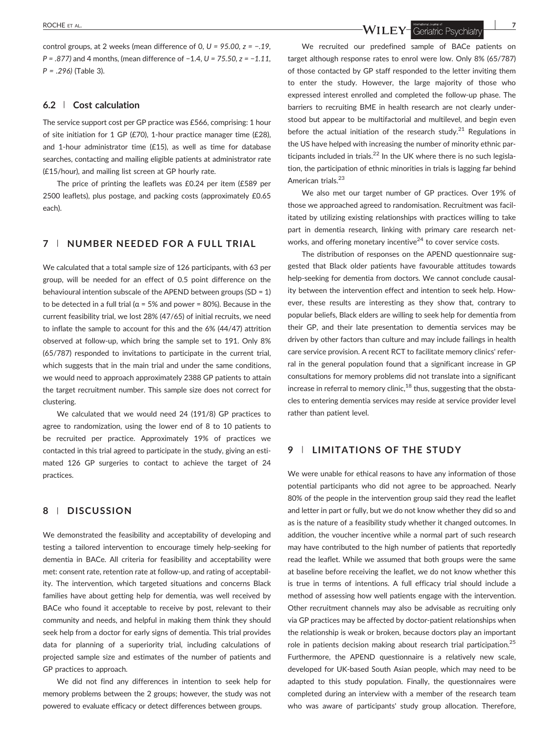control groups, at 2 weeks (mean difference of 0, *U = 95.00, z = −.19, P = .877)* and 4 months, (mean difference of −1.4, *U = 75.50, z = −1.11, P = .296)* (Table 3).

#### **6.2** | **Cost calculation**

The service support cost per GP practice was £566, comprising: 1 hour of site initiation for 1 GP (£70), 1‐hour practice manager time (£28), and 1-hour administrator time  $(E15)$ , as well as time for database searches, contacting and mailing eligible patients at administrator rate (£15/hour), and mailing list screen at GP hourly rate.

The price of printing the leaflets was £0.24 per item (£589 per 2500 leaflets), plus postage, and packing costs (approximately £0.65 each).

# **7** | **NUMBER NEEDED FOR A FULL TRIAL**

We calculated that a total sample size of 126 participants, with 63 per group, will be needed for an effect of 0.5 point difference on the behavioural intention subscale of the APEND between groups (SD = 1) to be detected in a full trial ( $\alpha$  = 5% and power = 80%). Because in the current feasibility trial, we lost 28% (47/65) of initial recruits, we need to inflate the sample to account for this and the 6% (44/47) attrition observed at follow‐up, which bring the sample set to 191. Only 8% (65/787) responded to invitations to participate in the current trial, which suggests that in the main trial and under the same conditions, we would need to approach approximately 2388 GP patients to attain the target recruitment number. This sample size does not correct for clustering.

We calculated that we would need 24 (191/8) GP practices to agree to randomization, using the lower end of 8 to 10 patients to be recruited per practice. Approximately 19% of practices we contacted in this trial agreed to participate in the study, giving an estimated 126 GP surgeries to contact to achieve the target of 24 practices.

# **8** | **DISCUSSION**

We demonstrated the feasibility and acceptability of developing and testing a tailored intervention to encourage timely help‐seeking for dementia in BACe. All criteria for feasibility and acceptability were met: consent rate, retention rate at follow‐up, and rating of acceptability. The intervention, which targeted situations and concerns Black families have about getting help for dementia, was well received by BACe who found it acceptable to receive by post, relevant to their community and needs, and helpful in making them think they should seek help from a doctor for early signs of dementia. This trial provides data for planning of a superiority trial, including calculations of projected sample size and estimates of the number of patients and GP practices to approach.

We did not find any differences in intention to seek help for memory problems between the 2 groups; however, the study was not powered to evaluate efficacy or detect differences between groups.

ROCHE ET AL. **2008 PROCHE ET AL.** 2008 PROCHE ET AL. 2008 PROCHE ET AL. 2008 PROCHE ET AL. 2008 PROCHE ET AL. 2008 PROCHE ET AL. 2008 PROCHE ET AL. 2008 PROCHE ET AL. 2008 PROCHE ET AL. 2008 PROCHE ET AL. 2008 PROCHE ET AL

We recruited our predefined sample of BACe patients on target although response rates to enrol were low. Only 8% (65/787) of those contacted by GP staff responded to the letter inviting them to enter the study. However, the large majority of those who expressed interest enrolled and completed the follow‐up phase. The barriers to recruiting BME in health research are not clearly understood but appear to be multifactorial and multilevel, and begin even before the actual initiation of the research study. $21$  Regulations in the US have helped with increasing the number of minority ethnic participants included in trials. $^{22}$  In the UK where there is no such legislation, the participation of ethnic minorities in trials is lagging far behind American trials.<sup>23</sup>

We also met our target number of GP practices. Over 19% of those we approached agreed to randomisation. Recruitment was facilitated by utilizing existing relationships with practices willing to take part in dementia research, linking with primary care research networks, and offering monetary incentive<sup>24</sup> to cover service costs.

The distribution of responses on the APEND questionnaire suggested that Black older patients have favourable attitudes towards help-seeking for dementia from doctors. We cannot conclude causality between the intervention effect and intention to seek help. However, these results are interesting as they show that, contrary to popular beliefs, Black elders are willing to seek help for dementia from their GP, and their late presentation to dementia services may be driven by other factors than culture and may include failings in health care service provision. A recent RCT to facilitate memory clinics' referral in the general population found that a significant increase in GP consultations for memory problems did not translate into a significant increase in referral to memory clinic, $18$  thus, suggesting that the obstacles to entering dementia services may reside at service provider level rather than patient level.

# **9** | **LIMITATIONS OF THE STUDY**

We were unable for ethical reasons to have any information of those potential participants who did not agree to be approached. Nearly 80% of the people in the intervention group said they read the leaflet and letter in part or fully, but we do not know whether they did so and as is the nature of a feasibility study whether it changed outcomes. In addition, the voucher incentive while a normal part of such research may have contributed to the high number of patients that reportedly read the leaflet. While we assumed that both groups were the same at baseline before receiving the leaflet, we do not know whether this is true in terms of intentions. A full efficacy trial should include a method of assessing how well patients engage with the intervention. Other recruitment channels may also be advisable as recruiting only via GP practices may be affected by doctor‐patient relationships when the relationship is weak or broken, because doctors play an important role in patients decision making about research trial participation.<sup>25</sup> Furthermore, the APEND questionnaire is a relatively new scale, developed for UK‐based South Asian people, which may need to be adapted to this study population. Finally, the questionnaires were completed during an interview with a member of the research team who was aware of participants' study group allocation. Therefore,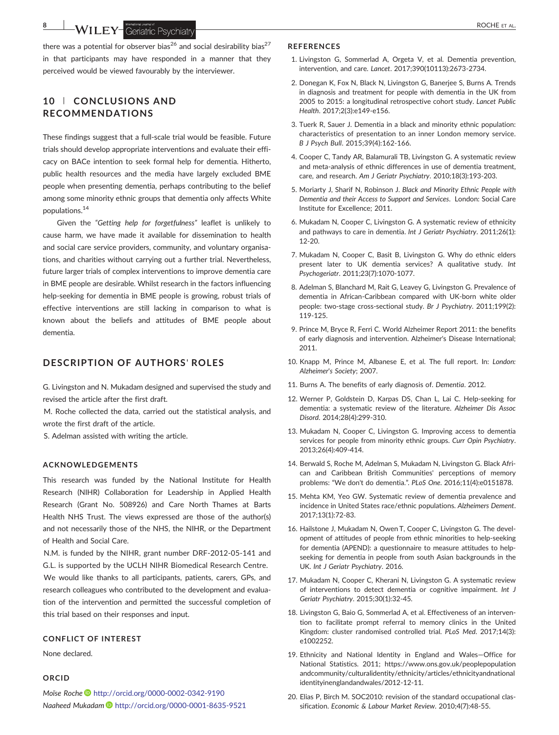**8 WILEY** Geriatric Psychiatry **CONSCRUTE ET AL.** 

there was a potential for observer bias<sup>26</sup> and social desirability bias<sup>27</sup> in that participants may have responded in a manner that they perceived would be viewed favourably by the interviewer.

# **10** | **CONCLUSIONS AND RECOMMENDATIONS**

These findings suggest that a full‐scale trial would be feasible. Future trials should develop appropriate interventions and evaluate their efficacy on BACe intention to seek formal help for dementia. Hitherto, public health resources and the media have largely excluded BME people when presenting dementia, perhaps contributing to the belief among some minority ethnic groups that dementia only affects White populations.14

Given the *"Getting help for forgetfulness"* leaflet is unlikely to cause harm, we have made it available for dissemination to health and social care service providers, community, and voluntary organisations, and charities without carrying out a further trial. Nevertheless, future larger trials of complex interventions to improve dementia care in BME people are desirable. Whilst research in the factors influencing help-seeking for dementia in BME people is growing, robust trials of effective interventions are still lacking in comparison to what is known about the beliefs and attitudes of BME people about dementia.

# **DESCRIPTION OF AUTHORS**' **ROLES**

G. Livingston and N. Mukadam designed and supervised the study and revised the article after the first draft.

M. Roche collected the data, carried out the statistical analysis, and wrote the first draft of the article.

S. Adelman assisted with writing the article.

#### **ACKNOWLEDGEMENTS**

This research was funded by the National Institute for Health Research (NIHR) Collaboration for Leadership in Applied Health Research (Grant No. 508926) and Care North Thames at Barts Health NHS Trust. The views expressed are those of the author(s) and not necessarily those of the NHS, the NIHR, or the Department of Health and Social Care.

N.M. is funded by the NIHR, grant number DRF‐2012‐05‐141 and G.L. is supported by the UCLH NIHR Biomedical Research Centre. We would like thanks to all participants, patients, carers, GPs, and research colleagues who contributed to the development and evaluation of the intervention and permitted the successful completion of this trial based on their responses and input.

#### **CONFLICT OF INTEREST**

None declared.

#### **ORCID**

*Moïse Roche* <http://orcid.org/0000-0002-0342-9190> *Naaheed Mukadam* <http://orcid.org/0000-0001-8635-9521>

#### **REFERENCES**

- 1. Livingston G, Sommerlad A, Orgeta V, et al. Dementia prevention, intervention, and care. *Lancet*. 2017;390(10113):2673‐2734.
- 2. Donegan K, Fox N, Black N, Livingston G, Banerjee S, Burns A. Trends in diagnosis and treatment for people with dementia in the UK from 2005 to 2015: a longitudinal retrospective cohort study. *Lancet Public Health*. 2017;2(3):e149‐e156.
- 3. Tuerk R, Sauer J. Dementia in a black and minority ethnic population: characteristics of presentation to an inner London memory service. *B J Psych Bull*. 2015;39(4):162‐166.
- 4. Cooper C, Tandy AR, Balamurali TB, Livingston G. A systematic review and meta‐analysis of ethnic differences in use of dementia treatment, care, and research. *Am J Geriatr Psychiatry*. 2010;18(3):193‐203.
- 5. Moriarty J, Sharif N, Robinson J. *Black and Minority Ethnic People with Dementia and their Access to Support and Services*. London: Social Care Institute for Excellence; 2011.
- 6. Mukadam N, Cooper C, Livingston G. A systematic review of ethnicity and pathways to care in dementia. *Int J Geriatr Psychiatry*. 2011;26(1): 12‐20.
- 7. Mukadam N, Cooper C, Basit B, Livingston G. Why do ethnic elders present later to UK dementia services? A qualitative study. *Int Psychogeriatr*. 2011;23(7):1070‐1077.
- 8. Adelman S, Blanchard M, Rait G, Leavey G, Livingston G. Prevalence of dementia in African‐Caribbean compared with UK‐born white older people: two‐stage cross‐sectional study. *Br J Psychiatry*. 2011;199(2): 119‐125.
- 9. Prince M, Bryce R, Ferri C. World Alzheimer Report 2011: the benefits of early diagnosis and intervention. Alzheimer's Disease International; 2011.
- 10. Knapp M, Prince M, Albanese E, et al. The full report. In: *London: Alzheimer*'*s Society*; 2007.
- 11. Burns A. The benefits of early diagnosis of. *Dementia*. 2012.
- 12. Werner P, Goldstein D, Karpas DS, Chan L, Lai C. Help-seeking for dementia: a systematic review of the literature. *Alzheimer Dis Assoc Disord*. 2014;28(4):299‐310.
- 13. Mukadam N, Cooper C, Livingston G. Improving access to dementia services for people from minority ethnic groups. *Curr Opin Psychiatry*. 2013;26(4):409‐414.
- 14. Berwald S, Roche M, Adelman S, Mukadam N, Livingston G. Black African and Caribbean British Communities' perceptions of memory problems: "We don't do dementia.". *PLoS One*. 2016;11(4):e0151878.
- 15. Mehta KM, Yeo GW. Systematic review of dementia prevalence and incidence in United States race/ethnic populations. *Alzheimers Dement*. 2017;13(1):72‐83.
- 16. Hailstone J, Mukadam N, Owen T, Cooper C, Livingston G. The development of attitudes of people from ethnic minorities to help‐seeking for dementia (APEND): a questionnaire to measure attitudes to help‐ seeking for dementia in people from south Asian backgrounds in the UK. *Int J Geriatr Psychiatry*. 2016.
- 17. Mukadam N, Cooper C, Kherani N, Livingston G. A systematic review of interventions to detect dementia or cognitive impairment. *Int J Geriatr Psychiatry*. 2015;30(1):32‐45.
- 18. Livingston G, Baio G, Sommerlad A, et al. Effectiveness of an intervention to facilitate prompt referral to memory clinics in the United Kingdom: cluster randomised controlled trial. *PLoS Med*. 2017;14(3): e1002252.
- 19. Ethnicity and National Identity in England and Wales—Office for National Statistics. 2011; [https://www.ons.gov.uk/peoplepopulation](https://www.ons.gov.uk/peoplepopulationandcommunity/culturalidentity/ethnicity/articles/ethnicityandnationalidentityinenglandandwales/2012-12-11) [andcommunity/culturalidentity/ethnicity/articles/ethnicityandnational](https://www.ons.gov.uk/peoplepopulationandcommunity/culturalidentity/ethnicity/articles/ethnicityandnationalidentityinenglandandwales/2012-12-11) [identityinenglandandwales/2012](https://www.ons.gov.uk/peoplepopulationandcommunity/culturalidentity/ethnicity/articles/ethnicityandnationalidentityinenglandandwales/2012-12-11)‐12‐11.
- 20. Elias P, Birch M. SOC2010: revision of the standard occupational classification. *Economic & Labour Market Review*. 2010;4(7):48‐55.